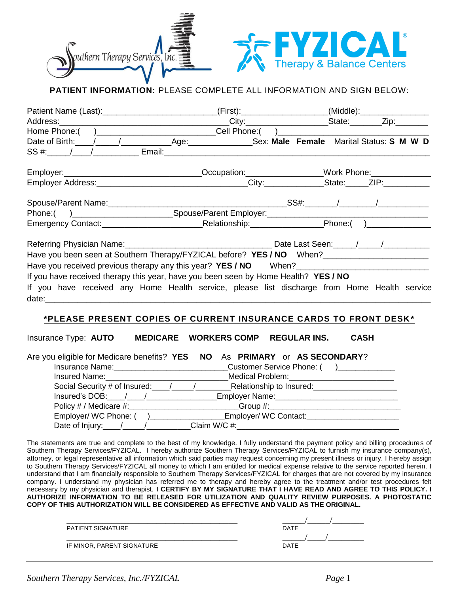



# **PATIENT INFORMATION:** PLEASE COMPLETE ALL INFORMATION AND SIGN BELOW:

|                                                                                                      | Patient Name (Last):_____________________________(First):__________________(Middle):________________ |
|------------------------------------------------------------------------------------------------------|------------------------------------------------------------------------------------------------------|
|                                                                                                      |                                                                                                      |
| Home Phone: ( )______________________________Cell Phone: ( )_____________________                    |                                                                                                      |
|                                                                                                      |                                                                                                      |
|                                                                                                      |                                                                                                      |
|                                                                                                      | Employer:___________________________________Occupation:_________________Work Phone:________________  |
|                                                                                                      |                                                                                                      |
|                                                                                                      |                                                                                                      |
|                                                                                                      |                                                                                                      |
|                                                                                                      |                                                                                                      |
|                                                                                                      |                                                                                                      |
| Have you been seen at Southern Therapy/FYZICAL before? YES / NO When?_______________________________ |                                                                                                      |
|                                                                                                      |                                                                                                      |
| If you have received therapy this year, have you been seen by Home Health? YES / NO                  |                                                                                                      |
|                                                                                                      | If you have received any Home Health service, please list discharge from Home Health service         |
|                                                                                                      |                                                                                                      |

# **\*PLEASE PRESENT COPIES OF CURRENT INSURANCE CARDS TO FRONT DESK \***

| Insurance Type: AUTO                                                             | <b>MEDICARE WORKERS COMP</b> | <b>REGULAR INS.</b> | <b>CASH</b> |
|----------------------------------------------------------------------------------|------------------------------|---------------------|-------------|
| Are you eligible for Medicare benefits? YES NO As PRIMARY or AS SECONDARY?       |                              |                     |             |
|                                                                                  |                              |                     |             |
| Insured Name: Name and Solid American Medical Problem:                           |                              |                     |             |
|                                                                                  |                              |                     |             |
|                                                                                  |                              |                     |             |
| Policy # / Medicare #: Group #: Group #:                                         |                              |                     |             |
|                                                                                  |                              |                     |             |
| Date of Injury:_____/__________________Claim W/C #:_____________________________ |                              |                     |             |

The statements are true and complete to the best of my knowledge. I fully understand the payment policy and billing procedures of Southern Therapy Services/FYZICAL. I hereby authorize Southern Therapy Services/FYZICAL to furnish my insurance company(s), attorney, or legal representative all information which said parties may request concerning my present illness or injury. I hereby assign to Southern Therapy Services/FYZICAL all money to which I am entitled for medical expense relative to the service reported herein. I understand that I am financially responsible to Southern Therapy Services/FYZICAL for charges that are not covered by my insurance company. I understand my physician has referred me to therapy and hereby agree to the treatment and/or test procedures felt necessary by my physician and therapist. **I CERTIFY BY MY SIGNATURE THAT I HAVE READ AND AGREE TO THIS POLICY. I AUTHORIZE INFORMATION TO BE RELEASED FOR UTILIZATION AND QUALITY REVIEW PURPOSES. A PHOTOSTATIC COPY OF THIS AUTHORIZATION WILL BE CONSIDERED AS EFFECTIVE AND VALID AS THE ORIGINAL.**

| <b>DATE</b> |
|-------------|
|             |
| <b>DATE</b> |
|             |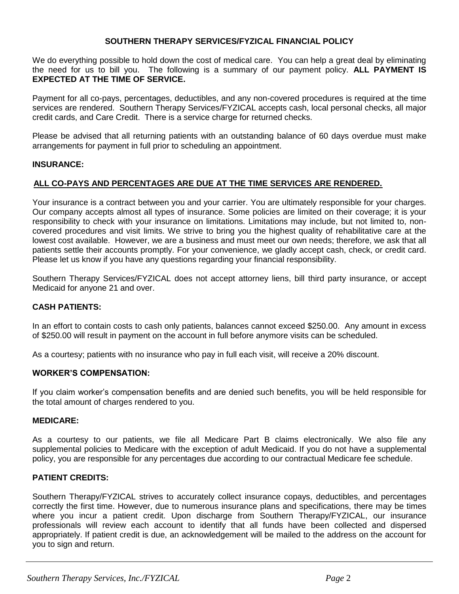# **SOUTHERN THERAPY SERVICES/FYZICAL FINANCIAL POLICY**

We do everything possible to hold down the cost of medical care. You can help a great deal by eliminating the need for us to bill you. The following is a summary of our payment policy. **ALL PAYMENT IS EXPECTED AT THE TIME OF SERVICE.**

Payment for all co-pays, percentages, deductibles, and any non-covered procedures is required at the time services are rendered. Southern Therapy Services/FYZICAL accepts cash, local personal checks, all major credit cards, and Care Credit. There is a service charge for returned checks.

Please be advised that all returning patients with an outstanding balance of 60 days overdue must make arrangements for payment in full prior to scheduling an appointment.

#### **INSURANCE:**

# **ALL CO-PAYS AND PERCENTAGES ARE DUE AT THE TIME SERVICES ARE RENDERED.**

Your insurance is a contract between you and your carrier. You are ultimately responsible for your charges. Our company accepts almost all types of insurance. Some policies are limited on their coverage; it is your responsibility to check with your insurance on limitations. Limitations may include, but not limited to, noncovered procedures and visit limits. We strive to bring you the highest quality of rehabilitative care at the lowest cost available. However, we are a business and must meet our own needs; therefore, we ask that all patients settle their accounts promptly. For your convenience, we gladly accept cash, check, or credit card. Please let us know if you have any questions regarding your financial responsibility.

Southern Therapy Services/FYZICAL does not accept attorney liens, bill third party insurance, or accept Medicaid for anyone 21 and over.

# **CASH PATIENTS:**

In an effort to contain costs to cash only patients, balances cannot exceed \$250.00. Any amount in excess of \$250.00 will result in payment on the account in full before anymore visits can be scheduled.

As a courtesy; patients with no insurance who pay in full each visit, will receive a 20% discount.

#### **WORKER'S COMPENSATION:**

If you claim worker's compensation benefits and are denied such benefits, you will be held responsible for the total amount of charges rendered to you.

#### **MEDICARE:**

As a courtesy to our patients, we file all Medicare Part B claims electronically. We also file any supplemental policies to Medicare with the exception of adult Medicaid. If you do not have a supplemental policy, you are responsible for any percentages due according to our contractual Medicare fee schedule.

#### **PATIENT CREDITS:**

Southern Therapy/FYZICAL strives to accurately collect insurance copays, deductibles, and percentages correctly the first time. However, due to numerous insurance plans and specifications, there may be times where you incur a patient credit. Upon discharge from Southern Therapy/FYZICAL, our insurance professionals will review each account to identify that all funds have been collected and dispersed appropriately. If patient credit is due, an acknowledgement will be mailed to the address on the account for you to sign and return.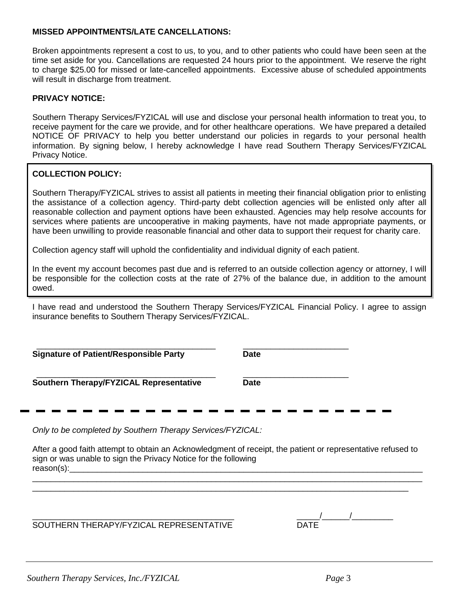## **MISSED APPOINTMENTS/LATE CANCELLATIONS:**

Broken appointments represent a cost to us, to you, and to other patients who could have been seen at the time set aside for you. Cancellations are requested 24 hours prior to the appointment. We reserve the right to charge \$25.00 for missed or late-cancelled appointments. Excessive abuse of scheduled appointments will result in discharge from treatment.

## **PRIVACY NOTICE:**

Southern Therapy Services/FYZICAL will use and disclose your personal health information to treat you, to receive payment for the care we provide, and for other healthcare operations. We have prepared a detailed NOTICE OF PRIVACY to help you better understand our policies in regards to your personal health information. By signing below, I hereby acknowledge I have read Southern Therapy Services/FYZICAL Privacy Notice.

# **COLLECTION POLICY:**

Southern Therapy/FYZICAL strives to assist all patients in meeting their financial obligation prior to enlisting the assistance of a collection agency. Third-party debt collection agencies will be enlisted only after all reasonable collection and payment options have been exhausted. Agencies may help resolve accounts for services where patients are uncooperative in making payments, have not made appropriate payments, or have been unwilling to provide reasonable financial and other data to support their request for charity care.

Collection agency staff will uphold the confidentiality and individual dignity of each patient.

In the event my account becomes past due and is referred to an outside collection agency or attorney, I will be responsible for the collection costs at the rate of 27% of the balance due, in addition to the amount owed.

I have read and understood the Southern Therapy Services/FYZICAL Financial Policy. I agree to assign insurance benefits to Southern Therapy Services/FYZICAL.

| <b>Signature of Patient/Responsible Party</b> | <b>Date</b> |  |
|-----------------------------------------------|-------------|--|
| Southern Therapy/FYZICAL Representative       | <b>Date</b> |  |
|                                               |             |  |

*Only to be completed by Southern Therapy Services/FYZICAL:*

After a good faith attempt to obtain an Acknowledgment of receipt, the patient or representative refused to sign or was unable to sign the Privacy Notice for the following  $reason(s):$ \_\_\_\_\_\_\_\_\_\_\_\_\_\_\_\_\_\_\_\_\_\_\_\_\_\_\_\_\_\_\_\_\_\_\_\_\_\_\_\_\_\_\_\_\_\_\_\_\_\_\_\_\_\_\_\_\_\_\_\_\_\_\_\_\_\_\_\_\_\_\_\_\_\_\_\_\_\_\_\_\_\_\_\_\_

\_\_\_\_\_\_\_\_\_\_\_\_\_\_\_\_\_\_\_\_\_\_\_\_\_\_\_\_\_\_\_\_\_\_\_\_\_\_\_\_\_\_\_\_\_\_\_\_\_\_\_\_\_\_\_\_\_\_\_\_\_\_\_\_\_\_\_\_\_\_\_\_\_\_\_\_\_\_\_\_\_\_

SOUTHERN THERAPY/FYZICAL REPRESENTATIVE DATE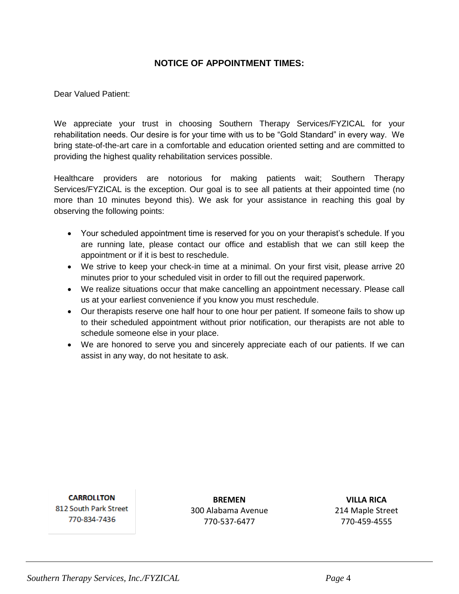# **NOTICE OF APPOINTMENT TIMES:**

Dear Valued Patient:

We appreciate your trust in choosing Southern Therapy Services/FYZICAL for your rehabilitation needs. Our desire is for your time with us to be "Gold Standard" in every way. We bring state-of-the-art care in a comfortable and education oriented setting and are committed to providing the highest quality rehabilitation services possible.

Healthcare providers are notorious for making patients wait; Southern Therapy Services/FYZICAL is the exception. Our goal is to see all patients at their appointed time (no more than 10 minutes beyond this). We ask for your assistance in reaching this goal by observing the following points:

- Your scheduled appointment time is reserved for you on your therapist's schedule. If you are running late, please contact our office and establish that we can still keep the appointment or if it is best to reschedule.
- We strive to keep your check-in time at a minimal. On your first visit, please arrive 20 minutes prior to your scheduled visit in order to fill out the required paperwork.
- We realize situations occur that make cancelling an appointment necessary. Please call us at your earliest convenience if you know you must reschedule.
- Our therapists reserve one half hour to one hour per patient. If someone fails to show up to their scheduled appointment without prior notification, our therapists are not able to schedule someone else in your place.
- We are honored to serve you and sincerely appreciate each of our patients. If we can assist in any way, do not hesitate to ask.

**CARROLITON** 812 South Park Street 770-834-7436

**BREMEN** 300 Alabama Avenue 770-537-6477

**VILLA RICA** 214 Maple Street 770-459-4555